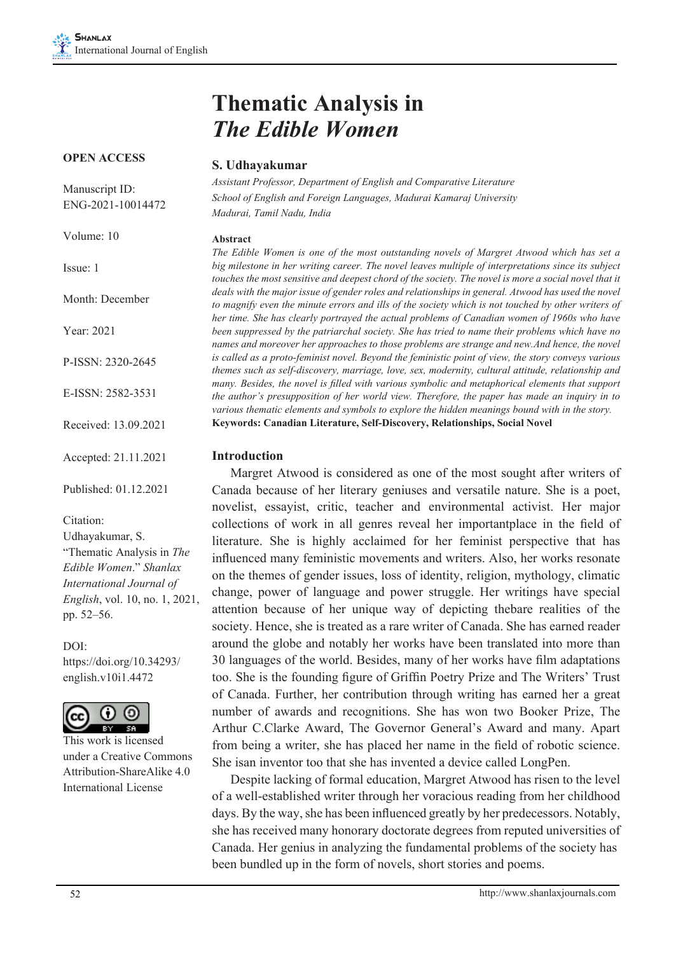# **Thematic Analysis in**  *The Edible Women*

## **S. Udhayakumar**

*Assistant Professor, Department of English and Comparative Literature School of English and Foreign Languages, Madurai Kamaraj University Madurai, Tamil Nadu, India*

#### **Abstract**

*The Edible Women is one of the most outstanding novels of Margret Atwood which has set a big milestone in her writing career. The novel leaves multiple of interpretations since its subject*  touches the most sensitive and deepest chord of the society. The novel is more a social novel that it deals with the major issue of gender roles and relationships in general. Atwood has used the novel *to magnify even the minute errors and ills of the society which is not touched by other writers of her time. She has clearly portrayed the actual problems of Canadian women of 1960s who have been suppressed by the patriarchal society. She has tried to name their problems which have no names and moreover her approaches to those problems are strange and new.And hence, the novel is called as a proto-feminist novel. Beyond the feministic point of view, the story conveys various themes such as self-discovery, marriage, love, sex, modernity, cultural attitude, relationship and many. Besides, the novel is filled with various symbolic and metaphorical elements that support the author's presupposition of her world view. Therefore, the paper has made an inquiry in to various thematic elements and symbols to explore the hidden meanings bound with in the story.* **Keywords: Canadian Literature, Self-Discovery, Relationships, Social Novel**

## **Introduction**

Margret Atwood is considered as one of the most sought after writers of Canada because of her literary geniuses and versatile nature. She is a poet, novelist, essayist, critic, teacher and environmental activist. Her major collections of work in all genres reveal her importantplace in the field of literature. She is highly acclaimed for her feminist perspective that has influenced many feministic movements and writers. Also, her works resonate on the themes of gender issues, loss of identity, religion, mythology, climatic change, power of language and power struggle. Her writings have special attention because of her unique way of depicting thebare realities of the society. Hence, she is treated as a rare writer of Canada. She has earned reader around the globe and notably her works have been translated into more than 30 languages of the world. Besides, many of her works have film adaptations too. She is the founding figure of Griffin Poetry Prize and The Writers' Trust of Canada. Further, her contribution through writing has earned her a great number of awards and recognitions. She has won two Booker Prize, The Arthur C.Clarke Award, The Governor General's Award and many. Apart from being a writer, she has placed her name in the field of robotic science. She isan inventor too that she has invented a device called LongPen.

Despite lacking of formal education, Margret Atwood has risen to the level of a well-established writer through her voracious reading from her childhood days. By the way, she has been influenced greatly by her predecessors. Notably, she has received many honorary doctorate degrees from reputed universities of Canada. Her genius in analyzing the fundamental problems of the society has been bundled up in the form of novels, short stories and poems.

#### **OPEN ACCESS**

Manuscript ID: ENG-2021-10014472

Volume: 10

Issue: 1

Month: December

Year: 2021

P-ISSN: 2320-2645

E-ISSN: 2582-3531

Received: 13.09.2021

Accepted: 21.11.2021

Published: 01.12.2021

Citation:

Udhayakumar, S. "Thematic Analysis in *The Edible Women*." *Shanlax International Journal of English*, vol. 10, no. 1, 2021, pp. 52–56.

DOI: https://doi.org/10.34293/ english.v10i1.4472



This work is licensed under a Creative Commons Attribution-ShareAlike 4.0 International License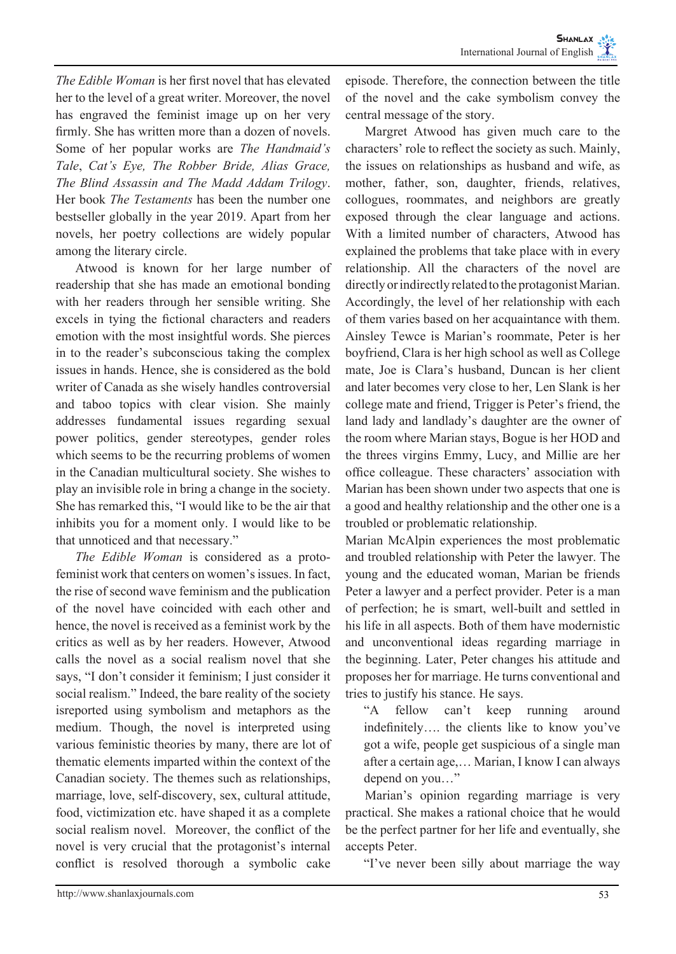*The Edible Woman* is her first novel that has elevated her to the level of a great writer. Moreover, the novel has engraved the feminist image up on her very firmly. She has written more than a dozen of novels. Some of her popular works are *The Handmaid's Tale*, *Cat's Eye, The Robber Bride, Alias Grace, The Blind Assassin and The Madd Addam Trilogy*. Her book *The Testaments* has been the number one bestseller globally in the year 2019. Apart from her novels, her poetry collections are widely popular among the literary circle.

Atwood is known for her large number of readership that she has made an emotional bonding with her readers through her sensible writing. She excels in tying the fictional characters and readers emotion with the most insightful words. She pierces in to the reader's subconscious taking the complex issues in hands. Hence, she is considered as the bold writer of Canada as she wisely handles controversial and taboo topics with clear vision. She mainly addresses fundamental issues regarding sexual power politics, gender stereotypes, gender roles which seems to be the recurring problems of women in the Canadian multicultural society. She wishes to play an invisible role in bring a change in the society. She has remarked this, "I would like to be the air that inhibits you for a moment only. I would like to be that unnoticed and that necessary."

*The Edible Woman* is considered as a protofeminist work that centers on women's issues. In fact, the rise of second wave feminism and the publication of the novel have coincided with each other and hence, the novel is received as a feminist work by the critics as well as by her readers. However, Atwood calls the novel as a social realism novel that she says, "I don't consider it feminism; I just consider it social realism." Indeed, the bare reality of the society isreported using symbolism and metaphors as the medium. Though, the novel is interpreted using various feministic theories by many, there are lot of thematic elements imparted within the context of the Canadian society. The themes such as relationships, marriage, love, self-discovery, sex, cultural attitude, food, victimization etc. have shaped it as a complete social realism novel. Moreover, the conflict of the novel is very crucial that the protagonist's internal conflict is resolved thorough a symbolic cake

episode. Therefore, the connection between the title of the novel and the cake symbolism convey the central message of the story.

Margret Atwood has given much care to the characters' role to reflect the society as such. Mainly, the issues on relationships as husband and wife, as mother, father, son, daughter, friends, relatives, collogues, roommates, and neighbors are greatly exposed through the clear language and actions. With a limited number of characters, Atwood has explained the problems that take place with in every relationship. All the characters of the novel are directly or indirectly related to the protagonist Marian. Accordingly, the level of her relationship with each of them varies based on her acquaintance with them. Ainsley Tewce is Marian's roommate, Peter is her boyfriend, Clara is her high school as well as College mate, Joe is Clara's husband, Duncan is her client and later becomes very close to her, Len Slank is her college mate and friend, Trigger is Peter's friend, the land lady and landlady's daughter are the owner of the room where Marian stays, Bogue is her HOD and the threes virgins Emmy, Lucy, and Millie are her office colleague. These characters' association with Marian has been shown under two aspects that one is a good and healthy relationship and the other one is a troubled or problematic relationship.

Marian McAlpin experiences the most problematic and troubled relationship with Peter the lawyer. The young and the educated woman, Marian be friends Peter a lawyer and a perfect provider. Peter is a man of perfection; he is smart, well-built and settled in his life in all aspects. Both of them have modernistic and unconventional ideas regarding marriage in the beginning. Later, Peter changes his attitude and proposes her for marriage. He turns conventional and tries to justify his stance. He says.

"A fellow can't keep running around indefinitely…. the clients like to know you've got a wife, people get suspicious of a single man after a certain age,… Marian, I know I can always depend on you…"

Marian's opinion regarding marriage is very practical. She makes a rational choice that he would be the perfect partner for her life and eventually, she accepts Peter.

"I've never been silly about marriage the way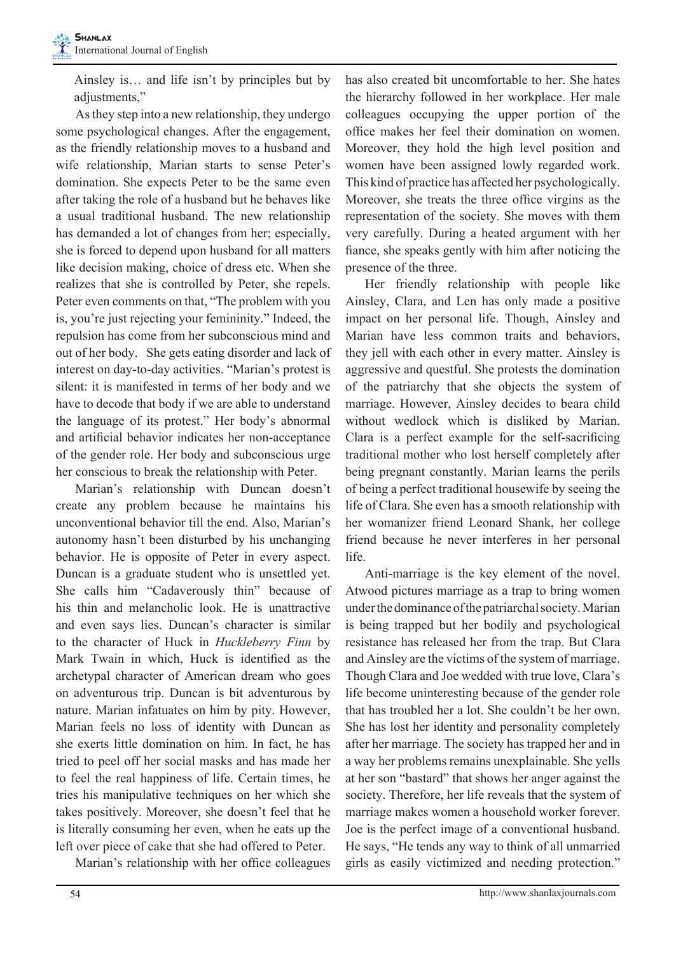Ainsley is… and life isn't by principles but by adjustments,"

As they step into a new relationship, they undergo some psychological changes. After the engagement, as the friendly relationship moves to a husband and wife relationship, Marian starts to sense Peter's domination. She expects Peter to be the same even after taking the role of a husband but he behaves like a usual traditional husband. The new relationship has demanded a lot of changes from her; especially, she is forced to depend upon husband for all matters like decision making, choice of dress etc. When she realizes that she is controlled by Peter, she repels. Peter even comments on that, "The problem with you is, you're just rejecting your femininity." Indeed, the repulsion has come from her subconscious mind and out of her body. She gets eating disorder and lack of interest on day-to-day activities. "Marian's protest is silent: it is manifested in terms of her body and we have to decode that body if we are able to understand the language of its protest." Her body's abnormal and artificial behavior indicates her non-acceptance of the gender role. Her body and subconscious urge her conscious to break the relationship with Peter.

Marian's relationship with Duncan doesn't create any problem because he maintains his unconventional behavior till the end. Also, Marian's autonomy hasn't been disturbed by his unchanging behavior. He is opposite of Peter in every aspect. Duncan is a graduate student who is unsettled yet. She calls him "Cadaverously thin" because of his thin and melancholic look. He is unattractive and even says lies. Duncan's character is similar to the character of Huck in *Huckleberry Finn* by Mark Twain in which, Huck is identified as the archetypal character of American dream who goes on adventurous trip. Duncan is bit adventurous by nature. Marian infatuates on him by pity. However, Marian feels no loss of identity with Duncan as she exerts little domination on him. In fact, he has tried to peel off her social masks and has made her to feel the real happiness of life. Certain times, he tries his manipulative techniques on her which she takes positively. Moreover, she doesn't feel that he is literally consuming her even, when he eats up the left over piece of cake that she had offered to Peter.

Marian's relationship with her office colleagues

has also created bit uncomfortable to her. She hates the hierarchy followed in her workplace. Her male colleagues occupying the upper portion of the office makes her feel their domination on women. Moreover, they hold the high level position and women have been assigned lowly regarded work. This kind of practice has affected her psychologically. Moreover, she treats the three office virgins as the representation of the society. She moves with them very carefully. During a heated argument with her fiance, she speaks gently with him after noticing the presence of the three.

Her friendly relationship with people like Ainsley, Clara, and Len has only made a positive impact on her personal life. Though, Ainsley and Marian have less common traits and behaviors, they jell with each other in every matter. Ainsley is aggressive and questful. She protests the domination of the patriarchy that she objects the system of marriage. However, Ainsley decides to beara child without wedlock which is disliked by Marian. Clara is a perfect example for the self-sacrificing traditional mother who lost herself completely after being pregnant constantly. Marian learns the perils of being a perfect traditional housewife by seeing the life of Clara. She even has a smooth relationship with her womanizer friend Leonard Shank, her college friend because he never interferes in her personal life.

Anti-marriage is the key element of the novel. Atwood pictures marriage as a trap to bring women under the dominance of the patriarchal society. Marian is being trapped but her bodily and psychological resistance has released her from the trap. But Clara and Ainsley are the victims of the system of marriage. Though Clara and Joe wedded with true love, Clara's life become uninteresting because of the gender role that has troubled her a lot. She couldn't be her own. She has lost her identity and personality completely after her marriage. The society has trapped her and in a way her problems remains unexplainable. She yells at her son "bastard" that shows her anger against the society. Therefore, her life reveals that the system of marriage makes women a household worker forever. Joe is the perfect image of a conventional husband. He says, "He tends any way to think of all unmarried girls as easily victimized and needing protection."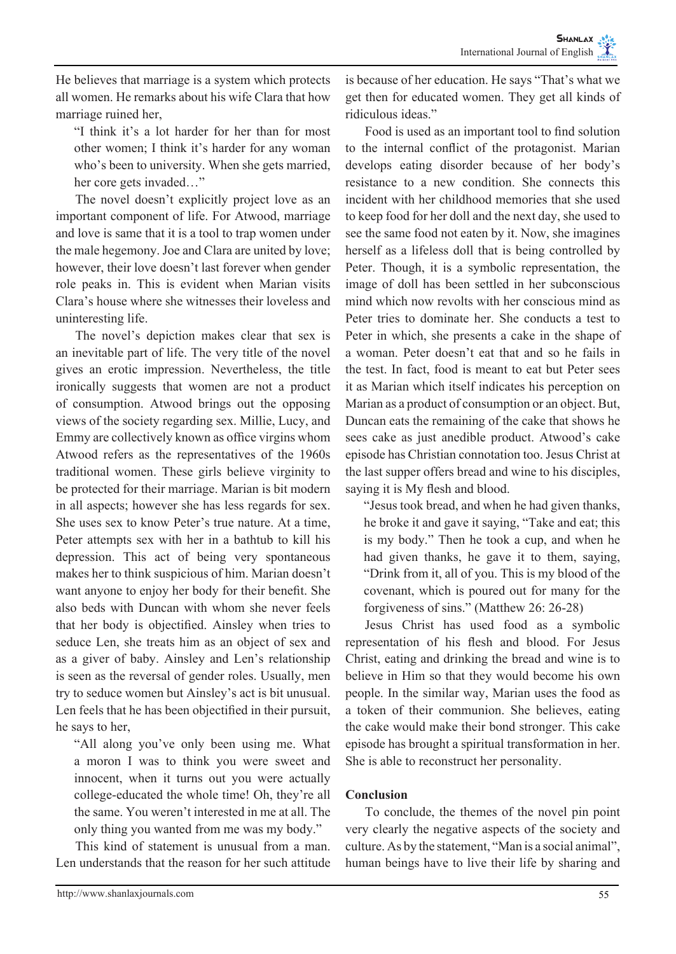He believes that marriage is a system which protects all women. He remarks about his wife Clara that how marriage ruined her,

"I think it's a lot harder for her than for most other women; I think it's harder for any woman who's been to university. When she gets married, her core gets invaded…"

The novel doesn't explicitly project love as an important component of life. For Atwood, marriage and love is same that it is a tool to trap women under the male hegemony. Joe and Clara are united by love; however, their love doesn't last forever when gender role peaks in. This is evident when Marian visits Clara's house where she witnesses their loveless and uninteresting life.

The novel's depiction makes clear that sex is an inevitable part of life. The very title of the novel gives an erotic impression. Nevertheless, the title ironically suggests that women are not a product of consumption. Atwood brings out the opposing views of the society regarding sex. Millie, Lucy, and Emmy are collectively known as office virgins whom Atwood refers as the representatives of the 1960s traditional women. These girls believe virginity to be protected for their marriage. Marian is bit modern in all aspects; however she has less regards for sex. She uses sex to know Peter's true nature. At a time, Peter attempts sex with her in a bathtub to kill his depression. This act of being very spontaneous makes her to think suspicious of him. Marian doesn't want anyone to enjoy her body for their benefit. She also beds with Duncan with whom she never feels that her body is objectified. Ainsley when tries to seduce Len, she treats him as an object of sex and as a giver of baby. Ainsley and Len's relationship is seen as the reversal of gender roles. Usually, men try to seduce women but Ainsley's act is bit unusual. Len feels that he has been objectified in their pursuit, he says to her,

"All along you've only been using me. What a moron I was to think you were sweet and innocent, when it turns out you were actually college-educated the whole time! Oh, they're all the same. You weren't interested in me at all. The only thing you wanted from me was my body."

This kind of statement is unusual from a man. Len understands that the reason for her such attitude

is because of her education. He says "That's what we get then for educated women. They get all kinds of ridiculous ideas."

Food is used as an important tool to find solution to the internal conflict of the protagonist. Marian develops eating disorder because of her body's resistance to a new condition. She connects this incident with her childhood memories that she used to keep food for her doll and the next day, she used to see the same food not eaten by it. Now, she imagines herself as a lifeless doll that is being controlled by Peter. Though, it is a symbolic representation, the image of doll has been settled in her subconscious mind which now revolts with her conscious mind as Peter tries to dominate her. She conducts a test to Peter in which, she presents a cake in the shape of a woman. Peter doesn't eat that and so he fails in the test. In fact, food is meant to eat but Peter sees it as Marian which itself indicates his perception on Marian as a product of consumption or an object. But, Duncan eats the remaining of the cake that shows he sees cake as just anedible product. Atwood's cake episode has Christian connotation too. Jesus Christ at the last supper offers bread and wine to his disciples, saying it is My flesh and blood.

"Jesus took bread, and when he had given thanks, he broke it and gave it saying, "Take and eat; this is my body." Then he took a cup, and when he had given thanks, he gave it to them, saying, "Drink from it, all of you. This is my blood of the covenant, which is poured out for many for the forgiveness of sins." (Matthew 26: 26-28)

Jesus Christ has used food as a symbolic representation of his flesh and blood. For Jesus Christ, eating and drinking the bread and wine is to believe in Him so that they would become his own people. In the similar way, Marian uses the food as a token of their communion. She believes, eating the cake would make their bond stronger. This cake episode has brought a spiritual transformation in her. She is able to reconstruct her personality.

# **Conclusion**

To conclude, the themes of the novel pin point very clearly the negative aspects of the society and culture. As by the statement, "Man is a social animal", human beings have to live their life by sharing and